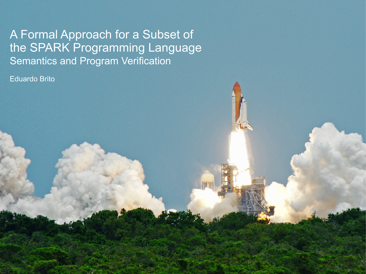A Formal Approach for a Subset of the SPARK Programming Language Semantics and Program Verification

Eduardo Brito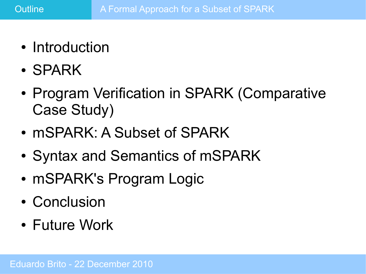- Introduction
- SPARK
- Program Verification in SPARK (Comparative Case Study)
- mSPARK: A Subset of SPARK
- Syntax and Semantics of mSPARK
- mSPARK's Program Logic
- Conclusion
- Future Work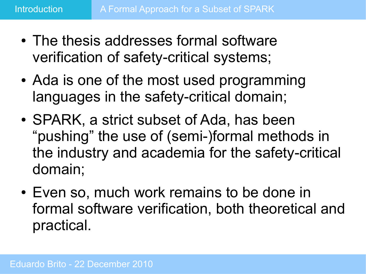- The thesis addresses formal software verification of safety-critical systems;
- Ada is one of the most used programming languages in the safety-critical domain;
- SPARK, a strict subset of Ada, has been "pushing" the use of (semi-)formal methods in the industry and academia for the safety-critical domain;
- Even so, much work remains to be done in formal software verification, both theoretical and practical.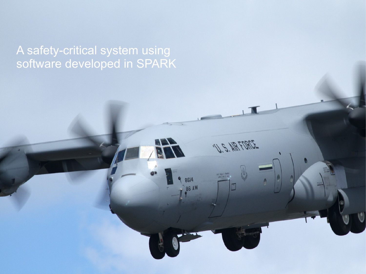A safety-critical system using software developed in SPARK

U.S. NR FORCE

DEC SSAL J. Brailey<br>ADEC SAL C. Laz

8614 **BE AW**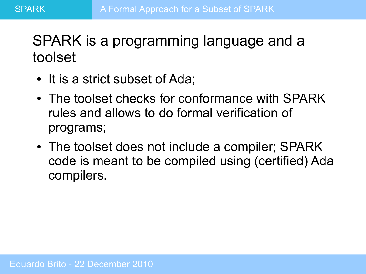## SPARK is a programming language and a toolset

- It is a strict subset of Ada;
- The toolset checks for conformance with SPARK rules and allows to do formal verification of programs;
- The toolset does not include a compiler; SPARK code is meant to be compiled using (certified) Ada compilers.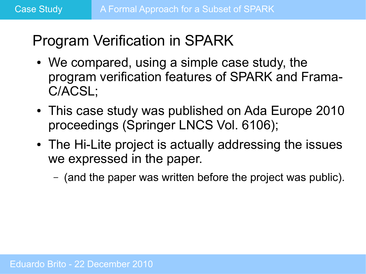# Program Verification in SPARK

- We compared, using a simple case study, the program verification features of SPARK and Frama-C/ACSL;
- This case study was published on Ada Europe 2010 proceedings (Springer LNCS Vol. 6106);
- The Hi-Lite project is actually addressing the issues we expressed in the paper.
	- (and the paper was written before the project was public).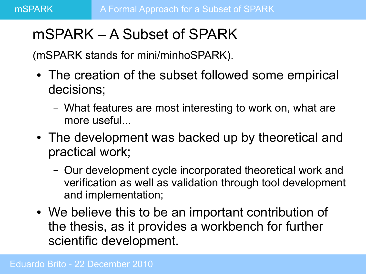# mSPARK – A Subset of SPARK

(mSPARK stands for mini/minhoSPARK).

- The creation of the subset followed some empirical decisions;
	- What features are most interesting to work on, what are more useful...
- The development was backed up by theoretical and practical work;
	- Our development cycle incorporated theoretical work and verification as well as validation through tool development and implementation;
- We believe this to be an important contribution of the thesis, as it provides a workbench for further scientific development.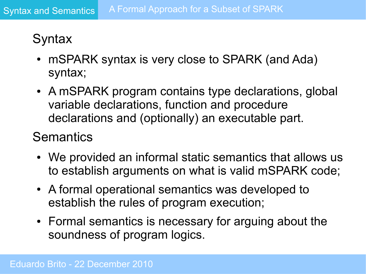### **Syntax**

- mSPARK syntax is very close to SPARK (and Ada) syntax;
- A mSPARK program contains type declarations, global variable declarations, function and procedure declarations and (optionally) an executable part.

#### **Semantics**

- We provided an informal static semantics that allows us to establish arguments on what is valid mSPARK code;
- A formal operational semantics was developed to establish the rules of program execution;
- Formal semantics is necessary for arguing about the soundness of program logics.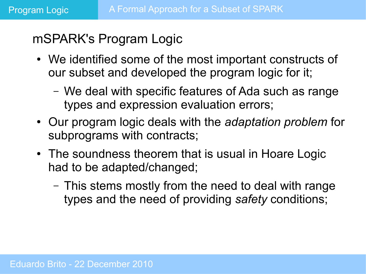#### mSPARK's Program Logic

- We identified some of the most important constructs of our subset and developed the program logic for it;
	- We deal with specific features of Ada such as range types and expression evaluation errors;
- Our program logic deals with the *adaptation problem* for subprograms with contracts;
- The soundness theorem that is usual in Hoare Logic had to be adapted/changed;
	- This stems mostly from the need to deal with range types and the need of providing *safety* conditions;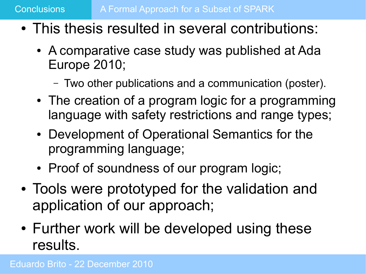- This thesis resulted in several contributions:
	- A comparative case study was published at Ada Europe 2010;
		- Two other publications and a communication (poster).
	- The creation of a program logic for a programming language with safety restrictions and range types;
	- Development of Operational Semantics for the programming language;
	- Proof of soundness of our program logic;
- Tools were prototyped for the validation and application of our approach;
- Further work will be developed using these results.

Eduardo Brito - 22 December 2010